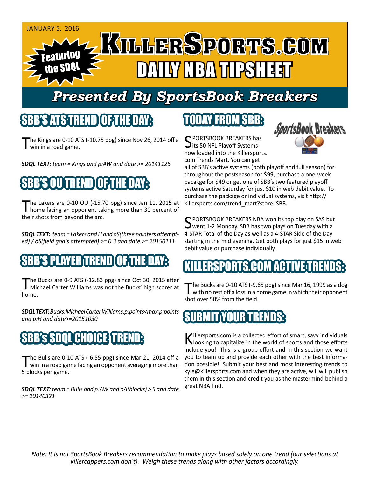

# *Presented By SportsBook Breakers*

# SBB'S ATSTREND

The Kings are 0-10 ATS (-10.75 ppg) since Nov 26, 2014 off a win in a road game.

*SDQL TEXT: team = Kings and p:AW and date >= 20141126*

# SBB'S OU TREND OF THE DAY:

The Lakers are 0-10 OU (-15.70 ppg) since Jan 11, 2015 at home facing an opponent taking more than 30 percent of their shots from beyond the arc.

*SDQL TEXT: team = Lakers and H and oS(three pointers attempted) / oS(field goals attempted) >= 0.3 and date >= 20150111*

# SBB'S PLAYER TREND OF THE DAY:

The Bucks are 0-9 ATS (-12.83 ppg) since Oct 30, 2015 after<br>Michael Carter Williams was not the Bucks' high scorer at home.

*SDQL TEXT: Bucks:Michael Carter Williams:p:points<max:p:points and p:H and date>=20151030*

# SBB's SDQL CHOICE TREND:

The Bulls are 0-10 ATS (-6.55 ppg) since Mar 21, 2014 off a<br>win in a road game facing an opponent averaging more than 5 blocks per game.

*SDQL TEXT: team = Bulls and p:AW and oA(blocks) > 5 and date >= 20140321*

### TODAY FROM SBB:

C PORTSBOOK BREAKERS has  $\bigcup$ its 50 NFL Playoff Systems now loaded into the Killersports. com Trends Mart. You can get



all of SBB's active systems (both playoff and full season) for throughout the postseason for \$99, purchase a one-week pacakge for \$49 or get one of SBB's two featured playoff systems active Saturday for just \$10 in web debit value. To purchase the package or individual systems, visit http:// killersports.com/trend\_mart?store=SBB.

SPORTSBOOK BREAKERS NBA won its top play on SAS but<br>went 1-2 Monday. SBB has two plays on Tuesday with a 4-STAR Total of the Day as well as a 4-STAR Side of the Day starting in the mid evening. Get both plays for just \$15 in web debit value or purchase individually.

# LLERSPORTS.COM ACTIVE T

The Bucks are 0-10 ATS (-9.65 ppg) since Mar 16, 1999 as a dog<br>with no rest off a loss in a home game in which their opponent shot over 50% from the field.

### IBMIT\YOUR\TRENDS:

Killersports.com is a collected effort of smart, savy individuals<br>Nooking to capitalize in the world of sports and those efforts include you! This is a group effort and in this section we want you to team up and provide each other with the best information possible! Submit your best and most interesting trends to kyle@killersports.com and when they are active, will will publish them in this section and credit you as the mastermind behind a great NBA find.

*Note: It is not SportsBook Breakers recommendation to make plays based solely on one trend (our selections at killercappers.com don't). Weigh these trends along with other factors accordingly.*